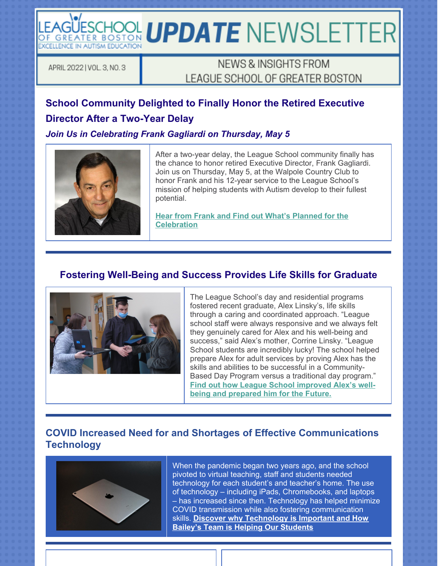LEAGUESCHOOL UPDATE NEWSLETTER **EXCELLENCE IN AUTISM EDUCATION** 

APRIL 2022 | VOL. 3, NO. 3

# NEWS & INSIGHTS FROM LEAGUE SCHOOL OF GREATER BOSTON

# **School Community Delighted to Finally Honor the Retired Executive Director After a Two-Year Delay**

*Join Us in Celebrating Frank Gagliardi on Thursday, May 5*



After a two-year delay, the League School community finally has the chance to honor retired Executive Director, Frank Gagliardi. Join us on Thursday, May 5, at the Walpole Country Club to honor Frank and his 12-year service to the League School's mission of helping students with Autism develop to their fullest potential.

**Hear from Frank and Find out What's Planned for the Celebration**

### **Fostering Well-Being and Success Provides Life Skills for Graduate**



The League School's day and residential programs fostered recent graduate, Alex Linsky's, life skills through a caring and coordinated approach. "League school staff were always responsive and we always felt they genuinely cared for Alex and his well-being and success," said Alex's mother, Corrine Linsky. "League School students are incredibly lucky! The school helped prepare Alex for adult services by proving Alex has the skills and abilities to be successful in a Community-Based Day Program versus a traditional day program." **Find out how League School improved Alex's wellbeing and prepared him for the Future.**

### **COVID Increased Need for and Shortages of Effective Communications Technology**



When the pandemic began two years ago, and the school pivoted to virtual teaching, staff and students needed technology for each student's and teacher's home. The use of technology – including iPads, Chromebooks, and laptops – has increased since then. Technology has helped minimize COVID transmission while also fostering communication skills. **Discover why Technology is Important and How Bailey's Team is Helping Our Students**